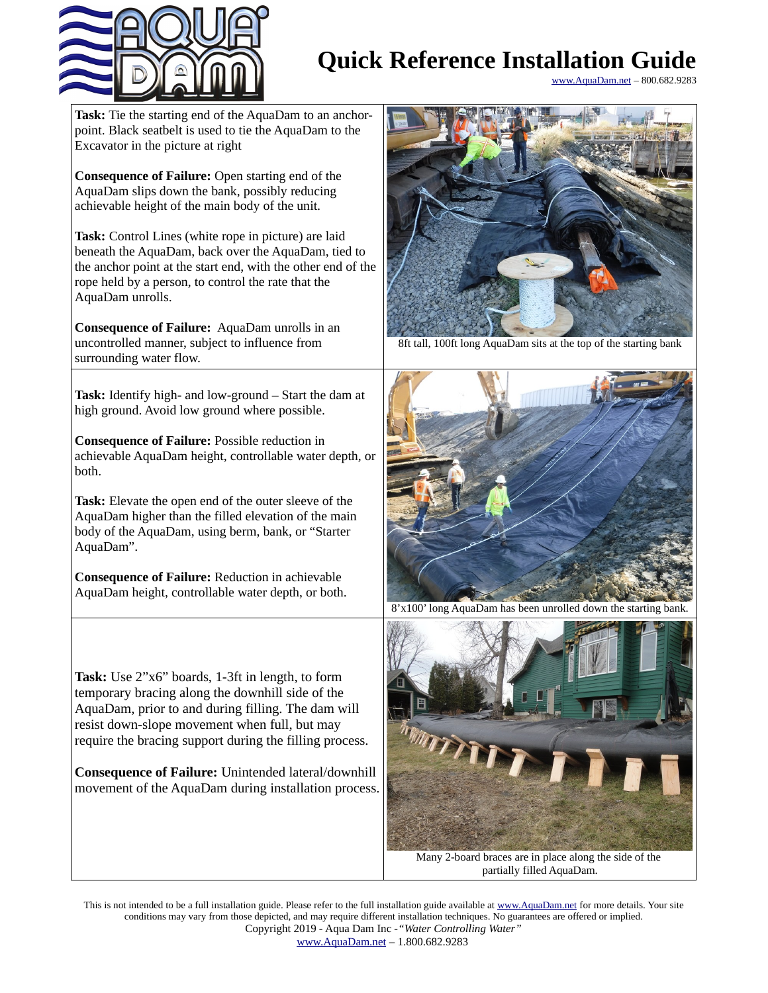

## **Quick Reference Installation Guide**

[www.AquaDam.net](http://www.AquaDam.net/) – 800.682.9283

**Task:** Tie the starting end of the AquaDam to an anchorpoint. Black seatbelt is used to tie the AquaDam to the Excavator in the picture at right

**Consequence of Failure:** Open starting end of the AquaDam slips down the bank, possibly reducing achievable height of the main body of the unit.

**Task:** Control Lines (white rope in picture) are laid beneath the AquaDam, back over the AquaDam, tied to the anchor point at the start end, with the other end of the rope held by a person, to control the rate that the AquaDam unrolls.

**Consequence of Failure:** AquaDam unrolls in an uncontrolled manner, subject to influence from surrounding water flow.

**Task:** Identify high- and low-ground – Start the dam at high ground. Avoid low ground where possible.

**Consequence of Failure:** Possible reduction in achievable AquaDam height, controllable water depth, or both.

**Task:** Elevate the open end of the outer sleeve of the AquaDam higher than the filled elevation of the main body of the AquaDam, using berm, bank, or "Starter AquaDam".

**Consequence of Failure:** Reduction in achievable AquaDam height, controllable water depth, or both.

**Task:** Use 2"x6" boards, 1-3ft in length, to form temporary bracing along the downhill side of the AquaDam, prior to and during filling. The dam will resist down-slope movement when full, but may require the bracing support during the filling process.

**Consequence of Failure:** Unintended lateral/downhill movement of the AquaDam during installation process.



8ft tall, 100ft long AquaDam sits at the top of the starting bank



8'x100' long AquaDam has been unrolled down the starting bank.



Many 2-board braces are in place along the side of the partially filled AquaDam.

This is not intended to be a full installation guide. Please refer to the full installation guide available at [www.AquaDam.net](http://www.AquaDam.net/) for more details. Your site conditions may vary from those depicted, and may require different installation techniques. No guarantees are offered or implied. Copyright 2019 - Aqua Dam Inc -*"Water Controlling Water"*